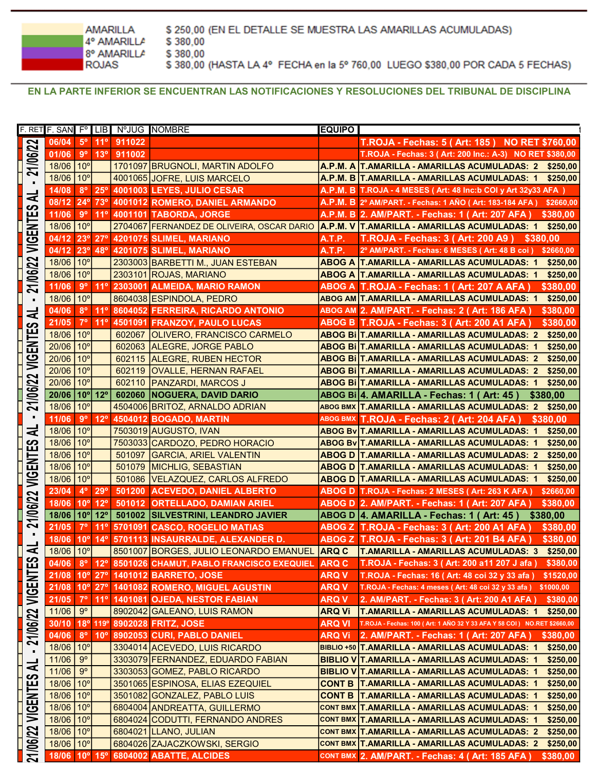**AMARILLA** 4° AMARILLA 8° AMARILLA **ROJAS** 

\$250,00 (EN EL DETALLE SE MUESTRA LAS AMARILLAS ACUMULADAS) \$380,00 \$380,00 \$380,00 (HASTA LA 4° FECHA en la 5° 760,00 LUEGO \$380,00 POR CADA 5 FECHAS)

EN LA PARTE INFERIOR SE ENCUENTRAN LAS NOTIFICACIONES Y RESOLUCIONES DEL TRIBUNAL DE DISCIPLINA

| 21/06/22        | $F.$ SAN $F^{\circ}$ LIB |                 |                  |         | N°JUG NOMBRE                                       | <b>EQUIPO</b> |                                                                         |
|-----------------|--------------------------|-----------------|------------------|---------|----------------------------------------------------|---------------|-------------------------------------------------------------------------|
|                 | 06/04                    | $5^{\circ}$     | 11°              | 911022  |                                                    |               | T.ROJA - Fechas: 5 (Art: 185) NO RET \$760,00                           |
|                 | 01/06                    | $9^{\circ}$     | 13°              | 911002  |                                                    |               | T.ROJA - Fechas: 3 ( Art: 200 Inc.: A-3) NO RET \$380,00                |
|                 | 18/06                    | 10 <sup>o</sup> |                  |         | 1701097 BRUGNOLI, MARTIN ADOLFO                    |               | A.P.M. A T.AMARILLA - AMARILLAS ACUMULADAS: 2 \$250,00                  |
|                 | 18/06                    | 10 <sup>°</sup> |                  |         | 4001065 JOFRE, LUIS MARCELO                        |               | A.P.M. B T.AMARILLA - AMARILLAS ACUMULADAS: 1 \$250,00                  |
| $\blacksquare$  | 14/08                    | $8^{\circ}$     | $25^\circ$       |         | 4001003 LEYES, JULIO CESAR                         |               | A.P.M. B T.ROJA - 4 MESES (Art: 48 Inc:b COI y Art 32y33 AFA)           |
| ₹               | 08/12                    | $24^\circ$      | 73 <sup>°</sup>  |         | 4001012 ROMERO, DANIEL ARMANDO                     |               |                                                                         |
| ဟ               |                          |                 |                  |         |                                                    |               | A.P.M. B 2º AM/PART. - Fechas: 1 AÑO ( Art: 183-184 AFA ) \$2660,00     |
| VIGENTE         | 11/06                    | $9^{\circ}$     | 11°              |         | 4001101 TABORDA, JORGE                             |               | A.P.M. B 2. AM/PART. - Fechas: 1 (Art: 207 AFA)<br>\$380,00             |
|                 | 18/06                    | 10 <sup>o</sup> |                  |         | 2704067 FERNANDEZ DE OLIVEIRA, OSCAR DARIO         |               | A.P.M. V T.AMARILLA - AMARILLAS ACUMULADAS: 1<br>\$250,00               |
|                 | 04/12                    | 23°             | $27^\circ$       |         | 4201075 SLIMEL, MARIANO                            | <b>A.T.P.</b> | <b>T.ROJA - Fechas: 3 (Art: 200 A9)</b><br>\$380.00                     |
|                 | 04/12                    | 23°             | 48°              |         | 4201075 SLIMEL, MARIANO                            | A.T.P.        | 2º AM/PART. - Fechas: 6 MESES (Art: 48 B coi) \$2660,00                 |
|                 | 18/06                    | 10 <sup>o</sup> |                  |         | 2303003 BARBETTI M., JUAN ESTEBAN                  |               | <b>ABOG A T.AMARILLA - AMARILLAS ACUMULADAS: 1</b><br>\$250,00          |
|                 | 18/06                    | 10 <sup>o</sup> |                  |         | 2303101 ROJAS, MARIANO                             |               | <b>ABOG A T.AMARILLA - AMARILLAS ACUMULADAS: 1</b><br>\$250,00          |
| 21/06/22        | 11/06                    | $9^{\circ}$     | 11°              |         | 2303001 ALMEIDA, MARIO RAMON                       |               | \$380,00<br>ABOG A  T.ROJA - Fechas: 1 ( Art: 207 A AFA )               |
| ٠               | 18/06                    | $10^{\circ}$    |                  |         | 8604038 ESPINDOLA, PEDRO                           |               | ABOG AM T.AMARILLA - AMARILLAS ACUMULADAS: 1<br>\$250,00                |
|                 | 04/06                    | $8^{\circ}$     | $11^{\circ}$     |         | 8604052 FERREIRA, RICARDO ANTONIO                  |               | ABOG AM 2. AM/PART. - Fechas: 2 (Art: 186 AFA )<br>\$380,00             |
| ⋜               | 21/05                    | $7^\circ$       | 11°              |         | 4501091 FRANZOY, PAULO LUCAS                       |               | ABOG B T.ROJA - Fechas: 3 (Art: 200 A1 AFA<br>\$380,00                  |
|                 | 18/06                    | 10 <sup>o</sup> |                  | 602067  | <b>OLIVERO, FRANCISCO CARMELO</b>                  |               | ABOG BI T.AMARILLA - AMARILLAS ACUMULADAS: 2<br>\$250.00                |
|                 | 20/06                    | 10 <sup>o</sup> |                  | 602063  | <b>ALEGRE, JORGE PABLO</b>                         |               | ABOG BI T.AMARILLA - AMARILLAS ACUMULADAS: 1<br>\$250,00                |
| VIGENTES        | 20/06                    | 10 <sup>o</sup> |                  | 602115  | <b>ALEGRE, RUBEN HECTOR</b>                        |               | ABOG BI T.AMARILLA - AMARILLAS ACUMULADAS: 2<br>\$250,00                |
|                 | 20/06                    | 10 <sup>o</sup> |                  | 602119  |                                                    |               |                                                                         |
|                 | 20/06                    | 10 <sup>°</sup> |                  | 602110  | <b>OVALLE, HERNAN RAFAEL</b>                       |               | ABOG BI T.AMARILLA - AMARILLAS ACUMULADAS: 2<br>\$250,00                |
|                 |                          |                 |                  |         | <b>PANZARDI, MARCOS J</b>                          |               | ABOG BIIT.AMARILLA - AMARILLAS ACUMULADAS: 1<br>\$250,00                |
| 21/06/22        | 20/06                    | 10 <sup>o</sup> | $12^{\circ}$     | 602060  | <b>NOGUERA, DAVID DARIO</b>                        |               | ABOG Bi 4. AMARILLA - Fechas: 1 (Art: 45)<br>\$380,00                   |
|                 | 18/06                    | 10 <sup>o</sup> |                  |         | 4504006 BRITOZ, ARNALDO ADRIAN                     |               | ABOG BMX T.AMARILLA - AMARILLAS ACUMULADAS: 2 \$250,00                  |
| ٠               | 11/06                    | $9^{\circ}$     | $12^{\circ}$     |         | 4504012 BOGADO, MARTIN                             |               | ABOG BMX T.ROJA - Fechas: 2 (Art: 204 AFA)<br>\$380.00                  |
| ⋜               | 18/06                    | 10 <sup>o</sup> |                  |         | 7503019 AUGUSTO, IVAN                              |               | ABOG BV T.AMARILLA - AMARILLAS ACUMULADAS: 1<br>\$250,00                |
| <b>ENTES</b>    | 18/06                    | 10 <sup>o</sup> |                  |         | 7503033 CARDOZO, PEDRO HORACIO                     |               | ABOG Bv T.AMARILLA - AMARILLAS ACUMULADAS: 1<br>\$250,00                |
|                 | 18/06                    | 10 <sup>o</sup> |                  | 501097  | <b>GARCIA, ARIEL VALENTIN</b>                      |               | <b>ABOG D T.AMARILLA - AMARILLAS ACUMULADAS: 2</b><br>\$250,00          |
|                 | 18/06                    | 10 <sup>o</sup> |                  | 501079  | <b>MICHLIG, SEBASTIAN</b>                          |               | <b>ABOG D T.AMARILLA - AMARILLAS ACUMULADAS: 1</b><br>\$250,00          |
| УIG             | 18/06                    | 10 <sup>o</sup> |                  | 501086  | VELAZQUEZ, CARLOS ALFREDO                          |               | <b>ABOG D T.AMARILLA - AMARILLAS ACUMULADAS: 1</b><br>\$250,00          |
|                 | 23/04                    | $4^{\circ}$     | 29°              | 501200  | <b>ACEVEDO, DANIEL ALBERTO</b>                     |               | ABOG D T.ROJA - Fechas: 2 MESES ( Art: 263 K AFA )<br>\$2660,00         |
|                 | 18/06                    | 10 <sup>o</sup> | $12^{\circ}$     | 501012  | <b>ORTELLADO, DAMIAN ARIEL</b>                     |               | ABOG D 2. AM/PART. - Fechas: 1 (Art: 207 AFA)<br>\$380,00               |
| 21/06/22        | 18/06                    | $10^{\circ}$    | $12^{\circ}$     | 501002  | <b>SILVESTRINI, LEANDRO JAVIER</b>                 |               | ABOG D 4. AMARILLA - Fechas: 1 (Art: 45)<br>\$380,00                    |
|                 | 21/05                    | $7^\circ$       | 11°              | 5701091 | <b>CASCO, ROGELIO MATIAS</b>                       |               | ABOG Z T.ROJA - Fechas: 3 (Art: 200 A1 AFA)<br>\$380,00                 |
| $\blacksquare$  | 18/06                    | 10 <sup>o</sup> | $14^{\circ}$     |         | 5701113 INSAURRALDE, ALEXANDER D.                  |               | ABOG Z T.ROJA - Fechas: 3 (Art: 201 B4 AFA)<br>\$380,00                 |
| ⋜               | 18/06                    | 10 <sup>o</sup> |                  | 8501007 | BORGES, JULIO LEONARDO EMANUEL                     | <b>ARQ C</b>  | <b>T.AMARILLA - AMARILLAS ACUMULADAS: 3</b><br>\$250,00                 |
| တ               |                          |                 |                  |         |                                                    |               | T.ROJA - Fechas: 3 (Art: 200 a11 207 J afa)                             |
| <b>VIGENTES</b> | 04/06                    | $8^{\circ}$     |                  |         | 12° 8501026 CHAMUT, PABLO FRANCISCO EXEQUIEL ARQ C |               | \$380,00                                                                |
|                 | 21/08                    | $10^{\circ}$    | $27^\circ$       |         | <b>1401012 BARRETO, JOSE</b>                       | <b>ARQ V</b>  | T.ROJA - Fechas: 16 (Art: 48 coi 32 y 33 afa)<br>\$1520,00              |
|                 | 21/08                    | $10^{\circ}$    |                  |         | 27º 1401082 ROMERO, MIGUEL AGUSTIN                 | <b>ARQ V</b>  | T.ROJA - Fechas: 4 meses (Art: 48 coi 32 y 33 afa) \$1000,00            |
|                 | 21/05                    | $7^{\circ}$     |                  |         | 11º 1401081 OJEDA, NESTOR FABIAN                   | <b>ARQ V</b>  | 2. AM/PART. - Fechas: 3 (Art: 200 A1 AFA)<br>\$380,00                   |
|                 | 11/06                    | $9^{\circ}$     |                  |         | 8902042 GALEANO, LUIS RAMON                        | <b>ARQ Vi</b> | <b>T.AMARILLA - AMARILLAS ACUMULADAS: 1</b><br>\$250,00                 |
| 21/06/22        | 30/10                    | 18 <sup>o</sup> | 119 <sup>c</sup> |         | 8902028 FRITZ, JOSE                                | <b>ARQ VI</b> | T.ROJA - Fechas: 100 (Art: 1 AÑO 32 Y 33 AFA Y 58 COI) NO.RET \$2660,00 |
|                 | 04/06                    | $8^{\circ}$     | $10^{\circ}$     |         | 8902053 CURI, PABLO DANIEL                         | <b>ARQ Vi</b> | 2. AM/PART. - Fechas: 1 (Art: 207 AFA)<br>\$380,00                      |
| $\blacksquare$  | 18/06                    | 10 <sup>o</sup> |                  |         | 3304014 ACEVEDO, LUIS RICARDO                      |               | BIBLIO +50 T.AMARILLA - AMARILLAS ACUMULADAS: 1<br>\$250,00             |
| ᆗ               | 11/06                    | $9^{\circ}$     |                  |         | 3303079 FERNANDEZ, EDUARDO FABIAN                  |               | \$250,00<br>BIBLIO V T.AMARILLA - AMARILLAS ACUMULADAS: 1               |
|                 | 11/06                    | $9^{\circ}$     |                  |         | 3303053 GOMEZ, PABLO RICARDO                       |               | BIBLIO V T.AMARILLA - AMARILLAS ACUMULADAS: 1<br>\$250,00               |
|                 |                          | 10 <sup>o</sup> |                  |         | 3501065 ESPINOSA, ELIAS EZEQUIEL                   |               | CONT B T.AMARILLA - AMARILLAS ACUMULADAS: 1<br>\$250,00                 |
|                 | 18/06                    |                 |                  |         |                                                    |               | CONT B   T.AMARILLA - AMARILLAS ACUMULADAS: 1<br>\$250,00               |
|                 |                          |                 |                  |         |                                                    |               |                                                                         |
|                 | 18/06                    | 10 <sup>o</sup> |                  |         | 3501082 GONZALEZ, PABLO LUIS                       |               |                                                                         |
|                 | 18/06                    | 10 <sup>o</sup> |                  |         | 6804004 ANDREATTA, GUILLERMO                       |               | CONT BMX T.AMARILLA - AMARILLAS ACUMULADAS: 1<br>\$250,00               |
| VIGENTES        | 18/06                    | 10 <sup>o</sup> |                  |         | 6804024 CODUTTI, FERNANDO ANDRES                   |               | CONT BMX T.AMARILLA - AMARILLAS ACUMULADAS: 1<br>\$250,00               |
|                 | 18/06                    | 10 <sup>o</sup> |                  |         | 6804021 LLANO, JULIAN                              |               | CONT BMX T.AMARILLA - AMARILLAS ACUMULADAS: 2<br>\$250,00               |
|                 | 18/06                    | 10 <sup>o</sup> |                  |         | 6804026 ZAJACZKOWSKI, SERGIO                       |               | CONT BMX T.AMARILLA - AMARILLAS ACUMULADAS: 2<br>\$250,00               |
| 21/06/22        | 18/06                    | 10 <sup>o</sup> | $15^{\circ}$     |         | 6804002 ABATTE, ALCIDES                            |               | CONT BMX 2. AM/PART. - Fechas: 4 ( Art: 185 AFA )<br>\$380,00           |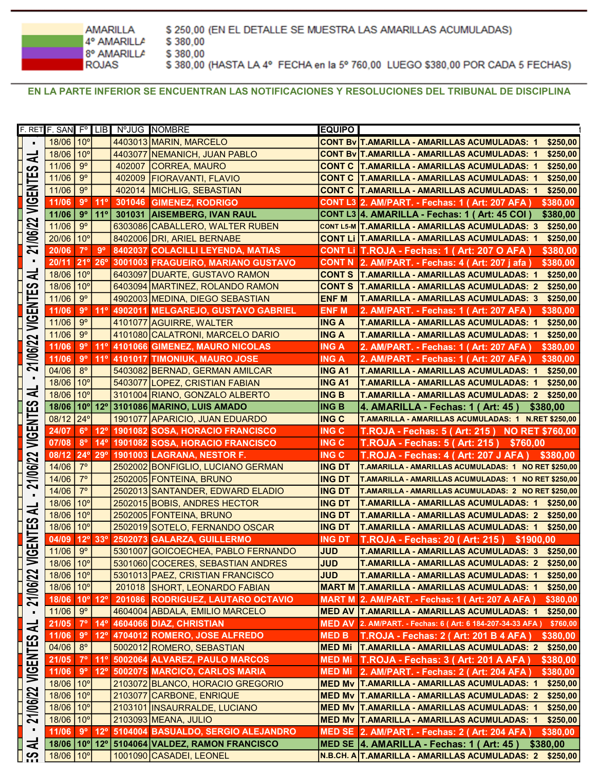**AMARILLA** \$380,00 4° AMARILLA 8° AMARILLA \$380,00 **ROJAS** 

\$250,00 (EN EL DETALLE SE MUESTRA LAS AMARILLAS ACUMULADAS) \$380,00 (HASTA LA 4° FECHA en la 5° 760,00 LUEGO \$380,00 POR CADA 5 FECHAS)

EN LA PARTE INFERIOR SE ENCUENTRAN LAS NOTIFICACIONES Y RESOLUCIONES DEL TRIBUNAL DE DISCIPLINA

| F. RET F. SAN Fº LIB NºJUG NOMBRE<br><b>EQUIPO</b><br>18/06 10°<br>4403013 MARIN, MARCELO<br>CONT Bv T.AMARILLA - AMARILLAS ACUMULADAS: 1<br>$\blacksquare$<br>18/06<br>10 <sup>o</sup><br>4403077<br>NEMANICH, JUAN PABLO<br>CONT By T.AMARILLA - AMARILLAS ACUMULADAS: 1<br>₹<br>$9^{\circ}$<br>11/06<br>402007<br><b>CORREA, MAURO</b><br><b>CONT C T.AMARILLA - AMARILLAS ACUMULADAS: 1</b><br>ဟ<br>ENTE<br>$9^{\circ}$<br>11/06<br>402009<br><b>FIORAVANTI, FLAVIO</b><br><b>CONT C T.AMARILLA - AMARILLAS ACUMULADAS: 1</b><br>$9^{\circ}$<br>11/06<br>402014<br><b>MICHLIG, SEBASTIAN</b><br><b>CONT C T.AMARILLA - AMARILLAS ACUMULADAS: 1</b><br>$\overline{\mathbb{S}}$<br>11°<br>$9^{\circ}$<br>11/06<br>301046<br><b>GIMENEZ, RODRIGO</b><br>CONT L3 2. AM/PART. - Fechas: 1 (Art: 207 AFA)<br>$9^{\circ}$<br>11°<br>11/06<br><b>AISEMBERG, IVAN RAUL</b><br>301031<br>CONT L3 4. AMARILLA - Fechas: 1 (Art: 45 COI)<br>21/06/22<br>$9^{\circ}$<br>11/06<br>6303086 CABALLERO, WALTER RUBEN<br>CONT L5-M T.AMARILLA - AMARILLAS ACUMULADAS: 3<br>20/06<br>10 <sup>o</sup><br>CONT LI T.AMARILLA - AMARILLAS ACUMULADAS: 1<br>8402006 DRI, ARIEL BERNABE<br>$9^{\circ}$<br>$7^{\circ}$<br>CONT LI T.ROJA - Fechas: 1 ( Art: 207 O AFA )<br>20/06<br>8402037 COLACILLI LEYENDA, MATIAS<br>21°<br>$26^\circ$<br>3001003 FRAGUEIRO, MARIANO GUSTAVO<br>20/11<br>CONT N 2. AM/PART. - Fechas: 4 (Art: 207 j afa)<br>₹<br>10 <sup>o</sup><br>18/06<br>6403097 DUARTE, GUSTAVO RAMON<br>CONT S   T.AMARILLA - AMARILLAS ACUMULADAS: 1<br>ဟ<br>18/06<br>10 <sup>o</sup><br>6403094 MARTINEZ, ROLANDO RAMON<br>CONT S   T.AMARILLA - AMARILLAS ACUMULADAS: 2<br>VIGENTE<br>$9^{\circ}$<br>11/06<br>4902003 MEDINA, DIEGO SEBASTIAN<br><b>ENF M</b><br>T.AMARILLA - AMARILLAS ACUMULADAS: 3<br>$9^{\circ}$<br>$11^{\circ}$<br>11/06<br>4902011 MELGAREJO, GUSTAVO GABRIEL<br><b>ENF M</b><br>2. AM/PART. - Fechas: 1 (Art: 207 AFA)<br>$9^{\circ}$<br>11/06<br>4101077 AGUIRRE, WALTER<br><b>ING A</b><br><b>T.AMARILLA - AMARILLAS ACUMULADAS: 1</b><br>$9^{\circ}$<br>11/06<br>4101080 CALATRONI, MARCELO DARIO<br><b>ING A</b><br><b>T.AMARILLA - AMARILLAS ACUMULADAS: 1</b><br>/06/22<br>$9^{\circ}$<br>$11^{\circ}$<br>11/06<br>4101066 GIMENEZ, MAURO NICOLAS<br><b>ING A</b><br>2. AM/PART. - Fechas: 1 (Art: 207 AFA)<br>$9^{\circ}$<br>11/06<br>$11^{\circ}$<br>4101017 TIMONIUK, MAURO JOSE<br><b>ING A</b><br>2. AM/PART. - Fechas: 1 (Art: 207 AFA)<br>21<br>04/06<br>$8^{\circ}$<br>5403082 BERNAD, GERMAN AMILCAR<br><b>ING A1</b><br>T.AMARILLA - AMARILLAS ACUMULADAS: 1<br>10 <sup>o</sup><br>18/06<br>5403077 LOPEZ, CRISTIAN FABIAN<br><b>ING A1</b><br><b>T.AMARILLA - AMARILLAS ACUMULADAS: 1</b><br>ミ<br>18/06<br>10 <sup>o</sup><br>3101004 RIANO, GONZALO ALBERTO<br><b>ING B</b><br><b>T.AMARILLA - AMARILLAS ACUMULADAS: 2</b><br>VIGENTES<br>18/06<br>$10^{\circ}$ 12°<br><b>ING B</b><br>3101086 MARINO, LUIS AMADO<br>4. AMARILLA - Fechas: 1 (Art: 45)<br>\$380,00<br>08/12<br>$24^{\circ}$<br><b>ING C</b><br>1901077 APARICIO, JUAN EDUARDO<br>T.AMARILLA - AMARILLAS ACUMULADAS: 1 N.RET \$250,00<br>24/07<br>$6^{\circ}$<br>$12^{\circ}$<br>1901082 SOSA, HORACIO FRANCISCO<br><b>ING C</b><br><b>T.ROJA - Fechas: 5 (Art: 215)</b><br><b>NO RET \$760,00</b><br>$8^{\circ}$<br>$14^{\circ}$<br><b>T.ROJA - Fechas: 5 (Art: 215)</b><br>07/08<br>1901082 SOSA, HORACIO FRANCISCO<br><b>ING C</b><br>\$760.00<br>$24^{\circ}$<br>$29^\circ$<br>T.ROJA - Fechas: 4 (Art: 207 J AFA)<br>21/06/22<br>08/12<br>1901003 LAGRANA, NESTOR F.<br><b>ING C</b><br>\$380.00<br>14/06<br>$7^\circ$<br>2502002 BONFIGLIO, LUCIANO GERMAN<br><b>ING DT</b><br>T.AMARILLA - AMARILLAS ACUMULADAS: 1 NO RET \$250,00<br>$7^\circ$<br>2502005 FONTEINA, BRUNO<br>14/06<br><b>ING DT</b><br>T.AMARILLA - AMARILLAS ACUMULADAS: 1 NO RET \$250,00<br>$7^\circ$<br>14/06<br>2502013 SANTANDER, EDWARD ELADIO<br><b>ING DT</b><br>T.AMARILLA - AMARILLAS ACUMULADAS: 2 NO RET \$250,00<br>18/06<br>10 <sup>o</sup><br>2502015 BOBIS, ANDRES HECTOR<br><b>ING DT</b><br>T.AMARILLA - AMARILLAS ACUMULADAS: 1 \$250,00<br>긓<br>18/06<br>10 <sup>o</sup><br>2502005 FONTEINA, BRUNO<br><b>ING DT</b><br>ဟ<br>ய்<br>18/06<br>10 <sup>o</sup><br>2502019 SOTELO, FERNANDO OSCAR<br><b>ING DT</b><br>⊢<br>T.ROJA - Fechas: 20 (Art: 215) \$1900,00<br>04/09 12° 33°<br>2502073 GALARZA, GUILLERMO<br><b>ING DT</b><br><b>NIGEN</b><br>$9^{\circ}$<br>11/06<br>5301007 GOICOECHEA, PABLO FERNANDO<br><b>JUD</b><br>T.AMARILLA - AMARILLAS ACUMULADAS: 3<br>18/06<br>10 <sup>o</sup><br><b>JUD</b><br>T.AMARILLA - AMARILLAS ACUMULADAS: 2<br>5301060 COCERES, SEBASTIAN ANDRES<br>21/06/22<br>18/06<br>10 <sup>o</sup><br><b>JUD</b><br>5301013 PAEZ, CRISTIAN FRANCISCO<br><b>T.AMARILLA - AMARILLAS ACUMULADAS: 1</b><br>10 <sup>o</sup><br>18/06<br><b>MART M T.AMARILLA - AMARILLAS ACUMULADAS: 1</b><br>201018 SHORT, LEONARDO FABIAN<br>$12^{\circ}$<br>18/06<br>$10^{\circ}$<br>201086 RODRIGUEZ, LAUTARO OCTAVIO<br>MART M 2. AM/PART. - Fechas: 1 (Art: 207 A AFA)<br>$9^{\circ}$<br>11/06<br>4604004 ABDALA, EMILIO MARCELO<br>MED AV T.AMARILLA - AMARILLAS ACUMULADAS: 1<br>$\blacksquare$<br>$7^{\circ}$<br>$14^{\circ}$<br>4604066 DIAZ, CHRISTIAN<br>21/05<br>MED AV 2. AM/PART. - Fechas: 6 ( Art: 6 184-207-34-33 AFA )<br>₹<br>$9^{\circ}$<br>$12^{\circ}$<br>4704012 ROMERO, JOSE ALFREDO<br>11/06<br>MED B<br><b>T.ROJA - Fechas: 2 ( Art: 201 B 4 AFA )</b><br>တ<br><b>VIGENTES</b><br>04/06<br>$8^{\circ}$<br>5002012 ROMERO, SEBASTIAN<br>MED Mi   T.AMARILLA - AMARILLAS ACUMULADAS: 2<br>21/05<br>11 <sup>°</sup><br>$7^{\circ}$<br>5002064 ALVAREZ, PAULO MARCOS<br>T.ROJA - Fechas: 3 (Art: 201 A AFA)<br><b>MED Mi</b><br>11/06<br>$9^{\circ}$<br>$12^{\circ}$<br>5002075 MARCICO, CARLOS MARIA<br>2. AM/PART. - Fechas: 2 (Art: 204 AFA)<br><b>MED Mi</b><br>18/06<br>10 <sup>o</sup><br>2103072 BLANCO, HORACIO GREGORIO<br>MED Mv T.AMARILLA - AMARILLAS ACUMULADAS: 1<br>21/06/22<br>18/06<br>$10^{\circ}$<br>2103077 CARBONE, ENRIQUE<br>MED Mv   T.AMARILLA - AMARILLAS ACUMULADAS: 2 |  |  |  |  |                                               |
|----------------------------------------------------------------------------------------------------------------------------------------------------------------------------------------------------------------------------------------------------------------------------------------------------------------------------------------------------------------------------------------------------------------------------------------------------------------------------------------------------------------------------------------------------------------------------------------------------------------------------------------------------------------------------------------------------------------------------------------------------------------------------------------------------------------------------------------------------------------------------------------------------------------------------------------------------------------------------------------------------------------------------------------------------------------------------------------------------------------------------------------------------------------------------------------------------------------------------------------------------------------------------------------------------------------------------------------------------------------------------------------------------------------------------------------------------------------------------------------------------------------------------------------------------------------------------------------------------------------------------------------------------------------------------------------------------------------------------------------------------------------------------------------------------------------------------------------------------------------------------------------------------------------------------------------------------------------------------------------------------------------------------------------------------------------------------------------------------------------------------------------------------------------------------------------------------------------------------------------------------------------------------------------------------------------------------------------------------------------------------------------------------------------------------------------------------------------------------------------------------------------------------------------------------------------------------------------------------------------------------------------------------------------------------------------------------------------------------------------------------------------------------------------------------------------------------------------------------------------------------------------------------------------------------------------------------------------------------------------------------------------------------------------------------------------------------------------------------------------------------------------------------------------------------------------------------------------------------------------------------------------------------------------------------------------------------------------------------------------------------------------------------------------------------------------------------------------------------------------------------------------------------------------------------------------------------------------------------------------------------------------------------------------------------------------------------------------------------------------------------------------------------------------------------------------------------------------------------------------------------------------------------------------------------------------------------------------------------------------------------------------------------------------------------------------------------------------------------------------------------------------------------------------------------------------------------------------------------------------------------------------------------------------------------------------------------------------------------------------------------------------------------------------------------------------------------------------------------------------------------------------------------------------------------------------------------------------------------------------------------------------------------------------------------------------------------------------------------------------------------------------------------------------------------------------------------------------------------------------------------------------------------------------------------------------------------------------------------------------------------------------------------------------------------------------------------------------------------------------------------------------------------------------------------------------------------------------------------------------------------------------------------------------------------------------------------------------------------------------------------------------------------------------------------------------------------------------------------------------------------------------------------------------------------------------------------------------------------------------------------------------------------------------------------------------------------------------------------------------------------------------------------------------------------------------------------------------------------------------------------------------------------------------------------------------------------------------------------------------------------------------------------------------------------------------------------------------------------------------------------------|--|--|--|--|-----------------------------------------------|
|                                                                                                                                                                                                                                                                                                                                                                                                                                                                                                                                                                                                                                                                                                                                                                                                                                                                                                                                                                                                                                                                                                                                                                                                                                                                                                                                                                                                                                                                                                                                                                                                                                                                                                                                                                                                                                                                                                                                                                                                                                                                                                                                                                                                                                                                                                                                                                                                                                                                                                                                                                                                                                                                                                                                                                                                                                                                                                                                                                                                                                                                                                                                                                                                                                                                                                                                                                                                                                                                                                                                                                                                                                                                                                                                                                                                                                                                                                                                                                                                                                                                                                                                                                                                                                                                                                                                                                                                                                                                                                                                                                                                                                                                                                                                                                                                                                                                                                                                                                                                                                                                                                                                                                                                                                                                                                                                                                                                                                                                                                                                                                                                                                                                                                                                                                                                                                                                                                                                                                                                                                                                                                                                  |  |  |  |  |                                               |
|                                                                                                                                                                                                                                                                                                                                                                                                                                                                                                                                                                                                                                                                                                                                                                                                                                                                                                                                                                                                                                                                                                                                                                                                                                                                                                                                                                                                                                                                                                                                                                                                                                                                                                                                                                                                                                                                                                                                                                                                                                                                                                                                                                                                                                                                                                                                                                                                                                                                                                                                                                                                                                                                                                                                                                                                                                                                                                                                                                                                                                                                                                                                                                                                                                                                                                                                                                                                                                                                                                                                                                                                                                                                                                                                                                                                                                                                                                                                                                                                                                                                                                                                                                                                                                                                                                                                                                                                                                                                                                                                                                                                                                                                                                                                                                                                                                                                                                                                                                                                                                                                                                                                                                                                                                                                                                                                                                                                                                                                                                                                                                                                                                                                                                                                                                                                                                                                                                                                                                                                                                                                                                                                  |  |  |  |  | \$250,00                                      |
|                                                                                                                                                                                                                                                                                                                                                                                                                                                                                                                                                                                                                                                                                                                                                                                                                                                                                                                                                                                                                                                                                                                                                                                                                                                                                                                                                                                                                                                                                                                                                                                                                                                                                                                                                                                                                                                                                                                                                                                                                                                                                                                                                                                                                                                                                                                                                                                                                                                                                                                                                                                                                                                                                                                                                                                                                                                                                                                                                                                                                                                                                                                                                                                                                                                                                                                                                                                                                                                                                                                                                                                                                                                                                                                                                                                                                                                                                                                                                                                                                                                                                                                                                                                                                                                                                                                                                                                                                                                                                                                                                                                                                                                                                                                                                                                                                                                                                                                                                                                                                                                                                                                                                                                                                                                                                                                                                                                                                                                                                                                                                                                                                                                                                                                                                                                                                                                                                                                                                                                                                                                                                                                                  |  |  |  |  | \$250,00                                      |
|                                                                                                                                                                                                                                                                                                                                                                                                                                                                                                                                                                                                                                                                                                                                                                                                                                                                                                                                                                                                                                                                                                                                                                                                                                                                                                                                                                                                                                                                                                                                                                                                                                                                                                                                                                                                                                                                                                                                                                                                                                                                                                                                                                                                                                                                                                                                                                                                                                                                                                                                                                                                                                                                                                                                                                                                                                                                                                                                                                                                                                                                                                                                                                                                                                                                                                                                                                                                                                                                                                                                                                                                                                                                                                                                                                                                                                                                                                                                                                                                                                                                                                                                                                                                                                                                                                                                                                                                                                                                                                                                                                                                                                                                                                                                                                                                                                                                                                                                                                                                                                                                                                                                                                                                                                                                                                                                                                                                                                                                                                                                                                                                                                                                                                                                                                                                                                                                                                                                                                                                                                                                                                                                  |  |  |  |  | \$250.00                                      |
|                                                                                                                                                                                                                                                                                                                                                                                                                                                                                                                                                                                                                                                                                                                                                                                                                                                                                                                                                                                                                                                                                                                                                                                                                                                                                                                                                                                                                                                                                                                                                                                                                                                                                                                                                                                                                                                                                                                                                                                                                                                                                                                                                                                                                                                                                                                                                                                                                                                                                                                                                                                                                                                                                                                                                                                                                                                                                                                                                                                                                                                                                                                                                                                                                                                                                                                                                                                                                                                                                                                                                                                                                                                                                                                                                                                                                                                                                                                                                                                                                                                                                                                                                                                                                                                                                                                                                                                                                                                                                                                                                                                                                                                                                                                                                                                                                                                                                                                                                                                                                                                                                                                                                                                                                                                                                                                                                                                                                                                                                                                                                                                                                                                                                                                                                                                                                                                                                                                                                                                                                                                                                                                                  |  |  |  |  | \$250,00                                      |
|                                                                                                                                                                                                                                                                                                                                                                                                                                                                                                                                                                                                                                                                                                                                                                                                                                                                                                                                                                                                                                                                                                                                                                                                                                                                                                                                                                                                                                                                                                                                                                                                                                                                                                                                                                                                                                                                                                                                                                                                                                                                                                                                                                                                                                                                                                                                                                                                                                                                                                                                                                                                                                                                                                                                                                                                                                                                                                                                                                                                                                                                                                                                                                                                                                                                                                                                                                                                                                                                                                                                                                                                                                                                                                                                                                                                                                                                                                                                                                                                                                                                                                                                                                                                                                                                                                                                                                                                                                                                                                                                                                                                                                                                                                                                                                                                                                                                                                                                                                                                                                                                                                                                                                                                                                                                                                                                                                                                                                                                                                                                                                                                                                                                                                                                                                                                                                                                                                                                                                                                                                                                                                                                  |  |  |  |  | \$250,00                                      |
|                                                                                                                                                                                                                                                                                                                                                                                                                                                                                                                                                                                                                                                                                                                                                                                                                                                                                                                                                                                                                                                                                                                                                                                                                                                                                                                                                                                                                                                                                                                                                                                                                                                                                                                                                                                                                                                                                                                                                                                                                                                                                                                                                                                                                                                                                                                                                                                                                                                                                                                                                                                                                                                                                                                                                                                                                                                                                                                                                                                                                                                                                                                                                                                                                                                                                                                                                                                                                                                                                                                                                                                                                                                                                                                                                                                                                                                                                                                                                                                                                                                                                                                                                                                                                                                                                                                                                                                                                                                                                                                                                                                                                                                                                                                                                                                                                                                                                                                                                                                                                                                                                                                                                                                                                                                                                                                                                                                                                                                                                                                                                                                                                                                                                                                                                                                                                                                                                                                                                                                                                                                                                                                                  |  |  |  |  | \$380,00                                      |
|                                                                                                                                                                                                                                                                                                                                                                                                                                                                                                                                                                                                                                                                                                                                                                                                                                                                                                                                                                                                                                                                                                                                                                                                                                                                                                                                                                                                                                                                                                                                                                                                                                                                                                                                                                                                                                                                                                                                                                                                                                                                                                                                                                                                                                                                                                                                                                                                                                                                                                                                                                                                                                                                                                                                                                                                                                                                                                                                                                                                                                                                                                                                                                                                                                                                                                                                                                                                                                                                                                                                                                                                                                                                                                                                                                                                                                                                                                                                                                                                                                                                                                                                                                                                                                                                                                                                                                                                                                                                                                                                                                                                                                                                                                                                                                                                                                                                                                                                                                                                                                                                                                                                                                                                                                                                                                                                                                                                                                                                                                                                                                                                                                                                                                                                                                                                                                                                                                                                                                                                                                                                                                                                  |  |  |  |  | \$380,00                                      |
|                                                                                                                                                                                                                                                                                                                                                                                                                                                                                                                                                                                                                                                                                                                                                                                                                                                                                                                                                                                                                                                                                                                                                                                                                                                                                                                                                                                                                                                                                                                                                                                                                                                                                                                                                                                                                                                                                                                                                                                                                                                                                                                                                                                                                                                                                                                                                                                                                                                                                                                                                                                                                                                                                                                                                                                                                                                                                                                                                                                                                                                                                                                                                                                                                                                                                                                                                                                                                                                                                                                                                                                                                                                                                                                                                                                                                                                                                                                                                                                                                                                                                                                                                                                                                                                                                                                                                                                                                                                                                                                                                                                                                                                                                                                                                                                                                                                                                                                                                                                                                                                                                                                                                                                                                                                                                                                                                                                                                                                                                                                                                                                                                                                                                                                                                                                                                                                                                                                                                                                                                                                                                                                                  |  |  |  |  | \$250,00                                      |
|                                                                                                                                                                                                                                                                                                                                                                                                                                                                                                                                                                                                                                                                                                                                                                                                                                                                                                                                                                                                                                                                                                                                                                                                                                                                                                                                                                                                                                                                                                                                                                                                                                                                                                                                                                                                                                                                                                                                                                                                                                                                                                                                                                                                                                                                                                                                                                                                                                                                                                                                                                                                                                                                                                                                                                                                                                                                                                                                                                                                                                                                                                                                                                                                                                                                                                                                                                                                                                                                                                                                                                                                                                                                                                                                                                                                                                                                                                                                                                                                                                                                                                                                                                                                                                                                                                                                                                                                                                                                                                                                                                                                                                                                                                                                                                                                                                                                                                                                                                                                                                                                                                                                                                                                                                                                                                                                                                                                                                                                                                                                                                                                                                                                                                                                                                                                                                                                                                                                                                                                                                                                                                                                  |  |  |  |  | \$250,00                                      |
|                                                                                                                                                                                                                                                                                                                                                                                                                                                                                                                                                                                                                                                                                                                                                                                                                                                                                                                                                                                                                                                                                                                                                                                                                                                                                                                                                                                                                                                                                                                                                                                                                                                                                                                                                                                                                                                                                                                                                                                                                                                                                                                                                                                                                                                                                                                                                                                                                                                                                                                                                                                                                                                                                                                                                                                                                                                                                                                                                                                                                                                                                                                                                                                                                                                                                                                                                                                                                                                                                                                                                                                                                                                                                                                                                                                                                                                                                                                                                                                                                                                                                                                                                                                                                                                                                                                                                                                                                                                                                                                                                                                                                                                                                                                                                                                                                                                                                                                                                                                                                                                                                                                                                                                                                                                                                                                                                                                                                                                                                                                                                                                                                                                                                                                                                                                                                                                                                                                                                                                                                                                                                                                                  |  |  |  |  | \$380,00                                      |
|                                                                                                                                                                                                                                                                                                                                                                                                                                                                                                                                                                                                                                                                                                                                                                                                                                                                                                                                                                                                                                                                                                                                                                                                                                                                                                                                                                                                                                                                                                                                                                                                                                                                                                                                                                                                                                                                                                                                                                                                                                                                                                                                                                                                                                                                                                                                                                                                                                                                                                                                                                                                                                                                                                                                                                                                                                                                                                                                                                                                                                                                                                                                                                                                                                                                                                                                                                                                                                                                                                                                                                                                                                                                                                                                                                                                                                                                                                                                                                                                                                                                                                                                                                                                                                                                                                                                                                                                                                                                                                                                                                                                                                                                                                                                                                                                                                                                                                                                                                                                                                                                                                                                                                                                                                                                                                                                                                                                                                                                                                                                                                                                                                                                                                                                                                                                                                                                                                                                                                                                                                                                                                                                  |  |  |  |  | \$380,00                                      |
|                                                                                                                                                                                                                                                                                                                                                                                                                                                                                                                                                                                                                                                                                                                                                                                                                                                                                                                                                                                                                                                                                                                                                                                                                                                                                                                                                                                                                                                                                                                                                                                                                                                                                                                                                                                                                                                                                                                                                                                                                                                                                                                                                                                                                                                                                                                                                                                                                                                                                                                                                                                                                                                                                                                                                                                                                                                                                                                                                                                                                                                                                                                                                                                                                                                                                                                                                                                                                                                                                                                                                                                                                                                                                                                                                                                                                                                                                                                                                                                                                                                                                                                                                                                                                                                                                                                                                                                                                                                                                                                                                                                                                                                                                                                                                                                                                                                                                                                                                                                                                                                                                                                                                                                                                                                                                                                                                                                                                                                                                                                                                                                                                                                                                                                                                                                                                                                                                                                                                                                                                                                                                                                                  |  |  |  |  | \$250,00                                      |
|                                                                                                                                                                                                                                                                                                                                                                                                                                                                                                                                                                                                                                                                                                                                                                                                                                                                                                                                                                                                                                                                                                                                                                                                                                                                                                                                                                                                                                                                                                                                                                                                                                                                                                                                                                                                                                                                                                                                                                                                                                                                                                                                                                                                                                                                                                                                                                                                                                                                                                                                                                                                                                                                                                                                                                                                                                                                                                                                                                                                                                                                                                                                                                                                                                                                                                                                                                                                                                                                                                                                                                                                                                                                                                                                                                                                                                                                                                                                                                                                                                                                                                                                                                                                                                                                                                                                                                                                                                                                                                                                                                                                                                                                                                                                                                                                                                                                                                                                                                                                                                                                                                                                                                                                                                                                                                                                                                                                                                                                                                                                                                                                                                                                                                                                                                                                                                                                                                                                                                                                                                                                                                                                  |  |  |  |  | \$250,00                                      |
|                                                                                                                                                                                                                                                                                                                                                                                                                                                                                                                                                                                                                                                                                                                                                                                                                                                                                                                                                                                                                                                                                                                                                                                                                                                                                                                                                                                                                                                                                                                                                                                                                                                                                                                                                                                                                                                                                                                                                                                                                                                                                                                                                                                                                                                                                                                                                                                                                                                                                                                                                                                                                                                                                                                                                                                                                                                                                                                                                                                                                                                                                                                                                                                                                                                                                                                                                                                                                                                                                                                                                                                                                                                                                                                                                                                                                                                                                                                                                                                                                                                                                                                                                                                                                                                                                                                                                                                                                                                                                                                                                                                                                                                                                                                                                                                                                                                                                                                                                                                                                                                                                                                                                                                                                                                                                                                                                                                                                                                                                                                                                                                                                                                                                                                                                                                                                                                                                                                                                                                                                                                                                                                                  |  |  |  |  | \$250,00                                      |
|                                                                                                                                                                                                                                                                                                                                                                                                                                                                                                                                                                                                                                                                                                                                                                                                                                                                                                                                                                                                                                                                                                                                                                                                                                                                                                                                                                                                                                                                                                                                                                                                                                                                                                                                                                                                                                                                                                                                                                                                                                                                                                                                                                                                                                                                                                                                                                                                                                                                                                                                                                                                                                                                                                                                                                                                                                                                                                                                                                                                                                                                                                                                                                                                                                                                                                                                                                                                                                                                                                                                                                                                                                                                                                                                                                                                                                                                                                                                                                                                                                                                                                                                                                                                                                                                                                                                                                                                                                                                                                                                                                                                                                                                                                                                                                                                                                                                                                                                                                                                                                                                                                                                                                                                                                                                                                                                                                                                                                                                                                                                                                                                                                                                                                                                                                                                                                                                                                                                                                                                                                                                                                                                  |  |  |  |  | \$380,00                                      |
|                                                                                                                                                                                                                                                                                                                                                                                                                                                                                                                                                                                                                                                                                                                                                                                                                                                                                                                                                                                                                                                                                                                                                                                                                                                                                                                                                                                                                                                                                                                                                                                                                                                                                                                                                                                                                                                                                                                                                                                                                                                                                                                                                                                                                                                                                                                                                                                                                                                                                                                                                                                                                                                                                                                                                                                                                                                                                                                                                                                                                                                                                                                                                                                                                                                                                                                                                                                                                                                                                                                                                                                                                                                                                                                                                                                                                                                                                                                                                                                                                                                                                                                                                                                                                                                                                                                                                                                                                                                                                                                                                                                                                                                                                                                                                                                                                                                                                                                                                                                                                                                                                                                                                                                                                                                                                                                                                                                                                                                                                                                                                                                                                                                                                                                                                                                                                                                                                                                                                                                                                                                                                                                                  |  |  |  |  | \$250,00                                      |
|                                                                                                                                                                                                                                                                                                                                                                                                                                                                                                                                                                                                                                                                                                                                                                                                                                                                                                                                                                                                                                                                                                                                                                                                                                                                                                                                                                                                                                                                                                                                                                                                                                                                                                                                                                                                                                                                                                                                                                                                                                                                                                                                                                                                                                                                                                                                                                                                                                                                                                                                                                                                                                                                                                                                                                                                                                                                                                                                                                                                                                                                                                                                                                                                                                                                                                                                                                                                                                                                                                                                                                                                                                                                                                                                                                                                                                                                                                                                                                                                                                                                                                                                                                                                                                                                                                                                                                                                                                                                                                                                                                                                                                                                                                                                                                                                                                                                                                                                                                                                                                                                                                                                                                                                                                                                                                                                                                                                                                                                                                                                                                                                                                                                                                                                                                                                                                                                                                                                                                                                                                                                                                                                  |  |  |  |  | \$250,00                                      |
|                                                                                                                                                                                                                                                                                                                                                                                                                                                                                                                                                                                                                                                                                                                                                                                                                                                                                                                                                                                                                                                                                                                                                                                                                                                                                                                                                                                                                                                                                                                                                                                                                                                                                                                                                                                                                                                                                                                                                                                                                                                                                                                                                                                                                                                                                                                                                                                                                                                                                                                                                                                                                                                                                                                                                                                                                                                                                                                                                                                                                                                                                                                                                                                                                                                                                                                                                                                                                                                                                                                                                                                                                                                                                                                                                                                                                                                                                                                                                                                                                                                                                                                                                                                                                                                                                                                                                                                                                                                                                                                                                                                                                                                                                                                                                                                                                                                                                                                                                                                                                                                                                                                                                                                                                                                                                                                                                                                                                                                                                                                                                                                                                                                                                                                                                                                                                                                                                                                                                                                                                                                                                                                                  |  |  |  |  | \$380,00                                      |
|                                                                                                                                                                                                                                                                                                                                                                                                                                                                                                                                                                                                                                                                                                                                                                                                                                                                                                                                                                                                                                                                                                                                                                                                                                                                                                                                                                                                                                                                                                                                                                                                                                                                                                                                                                                                                                                                                                                                                                                                                                                                                                                                                                                                                                                                                                                                                                                                                                                                                                                                                                                                                                                                                                                                                                                                                                                                                                                                                                                                                                                                                                                                                                                                                                                                                                                                                                                                                                                                                                                                                                                                                                                                                                                                                                                                                                                                                                                                                                                                                                                                                                                                                                                                                                                                                                                                                                                                                                                                                                                                                                                                                                                                                                                                                                                                                                                                                                                                                                                                                                                                                                                                                                                                                                                                                                                                                                                                                                                                                                                                                                                                                                                                                                                                                                                                                                                                                                                                                                                                                                                                                                                                  |  |  |  |  | \$380,00                                      |
|                                                                                                                                                                                                                                                                                                                                                                                                                                                                                                                                                                                                                                                                                                                                                                                                                                                                                                                                                                                                                                                                                                                                                                                                                                                                                                                                                                                                                                                                                                                                                                                                                                                                                                                                                                                                                                                                                                                                                                                                                                                                                                                                                                                                                                                                                                                                                                                                                                                                                                                                                                                                                                                                                                                                                                                                                                                                                                                                                                                                                                                                                                                                                                                                                                                                                                                                                                                                                                                                                                                                                                                                                                                                                                                                                                                                                                                                                                                                                                                                                                                                                                                                                                                                                                                                                                                                                                                                                                                                                                                                                                                                                                                                                                                                                                                                                                                                                                                                                                                                                                                                                                                                                                                                                                                                                                                                                                                                                                                                                                                                                                                                                                                                                                                                                                                                                                                                                                                                                                                                                                                                                                                                  |  |  |  |  | \$250,00                                      |
|                                                                                                                                                                                                                                                                                                                                                                                                                                                                                                                                                                                                                                                                                                                                                                                                                                                                                                                                                                                                                                                                                                                                                                                                                                                                                                                                                                                                                                                                                                                                                                                                                                                                                                                                                                                                                                                                                                                                                                                                                                                                                                                                                                                                                                                                                                                                                                                                                                                                                                                                                                                                                                                                                                                                                                                                                                                                                                                                                                                                                                                                                                                                                                                                                                                                                                                                                                                                                                                                                                                                                                                                                                                                                                                                                                                                                                                                                                                                                                                                                                                                                                                                                                                                                                                                                                                                                                                                                                                                                                                                                                                                                                                                                                                                                                                                                                                                                                                                                                                                                                                                                                                                                                                                                                                                                                                                                                                                                                                                                                                                                                                                                                                                                                                                                                                                                                                                                                                                                                                                                                                                                                                                  |  |  |  |  | \$250,00                                      |
|                                                                                                                                                                                                                                                                                                                                                                                                                                                                                                                                                                                                                                                                                                                                                                                                                                                                                                                                                                                                                                                                                                                                                                                                                                                                                                                                                                                                                                                                                                                                                                                                                                                                                                                                                                                                                                                                                                                                                                                                                                                                                                                                                                                                                                                                                                                                                                                                                                                                                                                                                                                                                                                                                                                                                                                                                                                                                                                                                                                                                                                                                                                                                                                                                                                                                                                                                                                                                                                                                                                                                                                                                                                                                                                                                                                                                                                                                                                                                                                                                                                                                                                                                                                                                                                                                                                                                                                                                                                                                                                                                                                                                                                                                                                                                                                                                                                                                                                                                                                                                                                                                                                                                                                                                                                                                                                                                                                                                                                                                                                                                                                                                                                                                                                                                                                                                                                                                                                                                                                                                                                                                                                                  |  |  |  |  | \$250,00                                      |
|                                                                                                                                                                                                                                                                                                                                                                                                                                                                                                                                                                                                                                                                                                                                                                                                                                                                                                                                                                                                                                                                                                                                                                                                                                                                                                                                                                                                                                                                                                                                                                                                                                                                                                                                                                                                                                                                                                                                                                                                                                                                                                                                                                                                                                                                                                                                                                                                                                                                                                                                                                                                                                                                                                                                                                                                                                                                                                                                                                                                                                                                                                                                                                                                                                                                                                                                                                                                                                                                                                                                                                                                                                                                                                                                                                                                                                                                                                                                                                                                                                                                                                                                                                                                                                                                                                                                                                                                                                                                                                                                                                                                                                                                                                                                                                                                                                                                                                                                                                                                                                                                                                                                                                                                                                                                                                                                                                                                                                                                                                                                                                                                                                                                                                                                                                                                                                                                                                                                                                                                                                                                                                                                  |  |  |  |  |                                               |
|                                                                                                                                                                                                                                                                                                                                                                                                                                                                                                                                                                                                                                                                                                                                                                                                                                                                                                                                                                                                                                                                                                                                                                                                                                                                                                                                                                                                                                                                                                                                                                                                                                                                                                                                                                                                                                                                                                                                                                                                                                                                                                                                                                                                                                                                                                                                                                                                                                                                                                                                                                                                                                                                                                                                                                                                                                                                                                                                                                                                                                                                                                                                                                                                                                                                                                                                                                                                                                                                                                                                                                                                                                                                                                                                                                                                                                                                                                                                                                                                                                                                                                                                                                                                                                                                                                                                                                                                                                                                                                                                                                                                                                                                                                                                                                                                                                                                                                                                                                                                                                                                                                                                                                                                                                                                                                                                                                                                                                                                                                                                                                                                                                                                                                                                                                                                                                                                                                                                                                                                                                                                                                                                  |  |  |  |  |                                               |
|                                                                                                                                                                                                                                                                                                                                                                                                                                                                                                                                                                                                                                                                                                                                                                                                                                                                                                                                                                                                                                                                                                                                                                                                                                                                                                                                                                                                                                                                                                                                                                                                                                                                                                                                                                                                                                                                                                                                                                                                                                                                                                                                                                                                                                                                                                                                                                                                                                                                                                                                                                                                                                                                                                                                                                                                                                                                                                                                                                                                                                                                                                                                                                                                                                                                                                                                                                                                                                                                                                                                                                                                                                                                                                                                                                                                                                                                                                                                                                                                                                                                                                                                                                                                                                                                                                                                                                                                                                                                                                                                                                                                                                                                                                                                                                                                                                                                                                                                                                                                                                                                                                                                                                                                                                                                                                                                                                                                                                                                                                                                                                                                                                                                                                                                                                                                                                                                                                                                                                                                                                                                                                                                  |  |  |  |  |                                               |
|                                                                                                                                                                                                                                                                                                                                                                                                                                                                                                                                                                                                                                                                                                                                                                                                                                                                                                                                                                                                                                                                                                                                                                                                                                                                                                                                                                                                                                                                                                                                                                                                                                                                                                                                                                                                                                                                                                                                                                                                                                                                                                                                                                                                                                                                                                                                                                                                                                                                                                                                                                                                                                                                                                                                                                                                                                                                                                                                                                                                                                                                                                                                                                                                                                                                                                                                                                                                                                                                                                                                                                                                                                                                                                                                                                                                                                                                                                                                                                                                                                                                                                                                                                                                                                                                                                                                                                                                                                                                                                                                                                                                                                                                                                                                                                                                                                                                                                                                                                                                                                                                                                                                                                                                                                                                                                                                                                                                                                                                                                                                                                                                                                                                                                                                                                                                                                                                                                                                                                                                                                                                                                                                  |  |  |  |  |                                               |
|                                                                                                                                                                                                                                                                                                                                                                                                                                                                                                                                                                                                                                                                                                                                                                                                                                                                                                                                                                                                                                                                                                                                                                                                                                                                                                                                                                                                                                                                                                                                                                                                                                                                                                                                                                                                                                                                                                                                                                                                                                                                                                                                                                                                                                                                                                                                                                                                                                                                                                                                                                                                                                                                                                                                                                                                                                                                                                                                                                                                                                                                                                                                                                                                                                                                                                                                                                                                                                                                                                                                                                                                                                                                                                                                                                                                                                                                                                                                                                                                                                                                                                                                                                                                                                                                                                                                                                                                                                                                                                                                                                                                                                                                                                                                                                                                                                                                                                                                                                                                                                                                                                                                                                                                                                                                                                                                                                                                                                                                                                                                                                                                                                                                                                                                                                                                                                                                                                                                                                                                                                                                                                                                  |  |  |  |  |                                               |
|                                                                                                                                                                                                                                                                                                                                                                                                                                                                                                                                                                                                                                                                                                                                                                                                                                                                                                                                                                                                                                                                                                                                                                                                                                                                                                                                                                                                                                                                                                                                                                                                                                                                                                                                                                                                                                                                                                                                                                                                                                                                                                                                                                                                                                                                                                                                                                                                                                                                                                                                                                                                                                                                                                                                                                                                                                                                                                                                                                                                                                                                                                                                                                                                                                                                                                                                                                                                                                                                                                                                                                                                                                                                                                                                                                                                                                                                                                                                                                                                                                                                                                                                                                                                                                                                                                                                                                                                                                                                                                                                                                                                                                                                                                                                                                                                                                                                                                                                                                                                                                                                                                                                                                                                                                                                                                                                                                                                                                                                                                                                                                                                                                                                                                                                                                                                                                                                                                                                                                                                                                                                                                                                  |  |  |  |  |                                               |
|                                                                                                                                                                                                                                                                                                                                                                                                                                                                                                                                                                                                                                                                                                                                                                                                                                                                                                                                                                                                                                                                                                                                                                                                                                                                                                                                                                                                                                                                                                                                                                                                                                                                                                                                                                                                                                                                                                                                                                                                                                                                                                                                                                                                                                                                                                                                                                                                                                                                                                                                                                                                                                                                                                                                                                                                                                                                                                                                                                                                                                                                                                                                                                                                                                                                                                                                                                                                                                                                                                                                                                                                                                                                                                                                                                                                                                                                                                                                                                                                                                                                                                                                                                                                                                                                                                                                                                                                                                                                                                                                                                                                                                                                                                                                                                                                                                                                                                                                                                                                                                                                                                                                                                                                                                                                                                                                                                                                                                                                                                                                                                                                                                                                                                                                                                                                                                                                                                                                                                                                                                                                                                                                  |  |  |  |  |                                               |
|                                                                                                                                                                                                                                                                                                                                                                                                                                                                                                                                                                                                                                                                                                                                                                                                                                                                                                                                                                                                                                                                                                                                                                                                                                                                                                                                                                                                                                                                                                                                                                                                                                                                                                                                                                                                                                                                                                                                                                                                                                                                                                                                                                                                                                                                                                                                                                                                                                                                                                                                                                                                                                                                                                                                                                                                                                                                                                                                                                                                                                                                                                                                                                                                                                                                                                                                                                                                                                                                                                                                                                                                                                                                                                                                                                                                                                                                                                                                                                                                                                                                                                                                                                                                                                                                                                                                                                                                                                                                                                                                                                                                                                                                                                                                                                                                                                                                                                                                                                                                                                                                                                                                                                                                                                                                                                                                                                                                                                                                                                                                                                                                                                                                                                                                                                                                                                                                                                                                                                                                                                                                                                                                  |  |  |  |  |                                               |
|                                                                                                                                                                                                                                                                                                                                                                                                                                                                                                                                                                                                                                                                                                                                                                                                                                                                                                                                                                                                                                                                                                                                                                                                                                                                                                                                                                                                                                                                                                                                                                                                                                                                                                                                                                                                                                                                                                                                                                                                                                                                                                                                                                                                                                                                                                                                                                                                                                                                                                                                                                                                                                                                                                                                                                                                                                                                                                                                                                                                                                                                                                                                                                                                                                                                                                                                                                                                                                                                                                                                                                                                                                                                                                                                                                                                                                                                                                                                                                                                                                                                                                                                                                                                                                                                                                                                                                                                                                                                                                                                                                                                                                                                                                                                                                                                                                                                                                                                                                                                                                                                                                                                                                                                                                                                                                                                                                                                                                                                                                                                                                                                                                                                                                                                                                                                                                                                                                                                                                                                                                                                                                                                  |  |  |  |  | T.AMARILLA - AMARILLAS ACUMULADAS: 2 \$250,00 |
|                                                                                                                                                                                                                                                                                                                                                                                                                                                                                                                                                                                                                                                                                                                                                                                                                                                                                                                                                                                                                                                                                                                                                                                                                                                                                                                                                                                                                                                                                                                                                                                                                                                                                                                                                                                                                                                                                                                                                                                                                                                                                                                                                                                                                                                                                                                                                                                                                                                                                                                                                                                                                                                                                                                                                                                                                                                                                                                                                                                                                                                                                                                                                                                                                                                                                                                                                                                                                                                                                                                                                                                                                                                                                                                                                                                                                                                                                                                                                                                                                                                                                                                                                                                                                                                                                                                                                                                                                                                                                                                                                                                                                                                                                                                                                                                                                                                                                                                                                                                                                                                                                                                                                                                                                                                                                                                                                                                                                                                                                                                                                                                                                                                                                                                                                                                                                                                                                                                                                                                                                                                                                                                                  |  |  |  |  | T.AMARILLA - AMARILLAS ACUMULADAS: 1 \$250,00 |
|                                                                                                                                                                                                                                                                                                                                                                                                                                                                                                                                                                                                                                                                                                                                                                                                                                                                                                                                                                                                                                                                                                                                                                                                                                                                                                                                                                                                                                                                                                                                                                                                                                                                                                                                                                                                                                                                                                                                                                                                                                                                                                                                                                                                                                                                                                                                                                                                                                                                                                                                                                                                                                                                                                                                                                                                                                                                                                                                                                                                                                                                                                                                                                                                                                                                                                                                                                                                                                                                                                                                                                                                                                                                                                                                                                                                                                                                                                                                                                                                                                                                                                                                                                                                                                                                                                                                                                                                                                                                                                                                                                                                                                                                                                                                                                                                                                                                                                                                                                                                                                                                                                                                                                                                                                                                                                                                                                                                                                                                                                                                                                                                                                                                                                                                                                                                                                                                                                                                                                                                                                                                                                                                  |  |  |  |  |                                               |
|                                                                                                                                                                                                                                                                                                                                                                                                                                                                                                                                                                                                                                                                                                                                                                                                                                                                                                                                                                                                                                                                                                                                                                                                                                                                                                                                                                                                                                                                                                                                                                                                                                                                                                                                                                                                                                                                                                                                                                                                                                                                                                                                                                                                                                                                                                                                                                                                                                                                                                                                                                                                                                                                                                                                                                                                                                                                                                                                                                                                                                                                                                                                                                                                                                                                                                                                                                                                                                                                                                                                                                                                                                                                                                                                                                                                                                                                                                                                                                                                                                                                                                                                                                                                                                                                                                                                                                                                                                                                                                                                                                                                                                                                                                                                                                                                                                                                                                                                                                                                                                                                                                                                                                                                                                                                                                                                                                                                                                                                                                                                                                                                                                                                                                                                                                                                                                                                                                                                                                                                                                                                                                                                  |  |  |  |  | \$250,00                                      |
|                                                                                                                                                                                                                                                                                                                                                                                                                                                                                                                                                                                                                                                                                                                                                                                                                                                                                                                                                                                                                                                                                                                                                                                                                                                                                                                                                                                                                                                                                                                                                                                                                                                                                                                                                                                                                                                                                                                                                                                                                                                                                                                                                                                                                                                                                                                                                                                                                                                                                                                                                                                                                                                                                                                                                                                                                                                                                                                                                                                                                                                                                                                                                                                                                                                                                                                                                                                                                                                                                                                                                                                                                                                                                                                                                                                                                                                                                                                                                                                                                                                                                                                                                                                                                                                                                                                                                                                                                                                                                                                                                                                                                                                                                                                                                                                                                                                                                                                                                                                                                                                                                                                                                                                                                                                                                                                                                                                                                                                                                                                                                                                                                                                                                                                                                                                                                                                                                                                                                                                                                                                                                                                                  |  |  |  |  | \$250,00                                      |
|                                                                                                                                                                                                                                                                                                                                                                                                                                                                                                                                                                                                                                                                                                                                                                                                                                                                                                                                                                                                                                                                                                                                                                                                                                                                                                                                                                                                                                                                                                                                                                                                                                                                                                                                                                                                                                                                                                                                                                                                                                                                                                                                                                                                                                                                                                                                                                                                                                                                                                                                                                                                                                                                                                                                                                                                                                                                                                                                                                                                                                                                                                                                                                                                                                                                                                                                                                                                                                                                                                                                                                                                                                                                                                                                                                                                                                                                                                                                                                                                                                                                                                                                                                                                                                                                                                                                                                                                                                                                                                                                                                                                                                                                                                                                                                                                                                                                                                                                                                                                                                                                                                                                                                                                                                                                                                                                                                                                                                                                                                                                                                                                                                                                                                                                                                                                                                                                                                                                                                                                                                                                                                                                  |  |  |  |  | \$250,00                                      |
|                                                                                                                                                                                                                                                                                                                                                                                                                                                                                                                                                                                                                                                                                                                                                                                                                                                                                                                                                                                                                                                                                                                                                                                                                                                                                                                                                                                                                                                                                                                                                                                                                                                                                                                                                                                                                                                                                                                                                                                                                                                                                                                                                                                                                                                                                                                                                                                                                                                                                                                                                                                                                                                                                                                                                                                                                                                                                                                                                                                                                                                                                                                                                                                                                                                                                                                                                                                                                                                                                                                                                                                                                                                                                                                                                                                                                                                                                                                                                                                                                                                                                                                                                                                                                                                                                                                                                                                                                                                                                                                                                                                                                                                                                                                                                                                                                                                                                                                                                                                                                                                                                                                                                                                                                                                                                                                                                                                                                                                                                                                                                                                                                                                                                                                                                                                                                                                                                                                                                                                                                                                                                                                                  |  |  |  |  | \$250,00                                      |
|                                                                                                                                                                                                                                                                                                                                                                                                                                                                                                                                                                                                                                                                                                                                                                                                                                                                                                                                                                                                                                                                                                                                                                                                                                                                                                                                                                                                                                                                                                                                                                                                                                                                                                                                                                                                                                                                                                                                                                                                                                                                                                                                                                                                                                                                                                                                                                                                                                                                                                                                                                                                                                                                                                                                                                                                                                                                                                                                                                                                                                                                                                                                                                                                                                                                                                                                                                                                                                                                                                                                                                                                                                                                                                                                                                                                                                                                                                                                                                                                                                                                                                                                                                                                                                                                                                                                                                                                                                                                                                                                                                                                                                                                                                                                                                                                                                                                                                                                                                                                                                                                                                                                                                                                                                                                                                                                                                                                                                                                                                                                                                                                                                                                                                                                                                                                                                                                                                                                                                                                                                                                                                                                  |  |  |  |  | \$380,00                                      |
|                                                                                                                                                                                                                                                                                                                                                                                                                                                                                                                                                                                                                                                                                                                                                                                                                                                                                                                                                                                                                                                                                                                                                                                                                                                                                                                                                                                                                                                                                                                                                                                                                                                                                                                                                                                                                                                                                                                                                                                                                                                                                                                                                                                                                                                                                                                                                                                                                                                                                                                                                                                                                                                                                                                                                                                                                                                                                                                                                                                                                                                                                                                                                                                                                                                                                                                                                                                                                                                                                                                                                                                                                                                                                                                                                                                                                                                                                                                                                                                                                                                                                                                                                                                                                                                                                                                                                                                                                                                                                                                                                                                                                                                                                                                                                                                                                                                                                                                                                                                                                                                                                                                                                                                                                                                                                                                                                                                                                                                                                                                                                                                                                                                                                                                                                                                                                                                                                                                                                                                                                                                                                                                                  |  |  |  |  | \$250,00                                      |
|                                                                                                                                                                                                                                                                                                                                                                                                                                                                                                                                                                                                                                                                                                                                                                                                                                                                                                                                                                                                                                                                                                                                                                                                                                                                                                                                                                                                                                                                                                                                                                                                                                                                                                                                                                                                                                                                                                                                                                                                                                                                                                                                                                                                                                                                                                                                                                                                                                                                                                                                                                                                                                                                                                                                                                                                                                                                                                                                                                                                                                                                                                                                                                                                                                                                                                                                                                                                                                                                                                                                                                                                                                                                                                                                                                                                                                                                                                                                                                                                                                                                                                                                                                                                                                                                                                                                                                                                                                                                                                                                                                                                                                                                                                                                                                                                                                                                                                                                                                                                                                                                                                                                                                                                                                                                                                                                                                                                                                                                                                                                                                                                                                                                                                                                                                                                                                                                                                                                                                                                                                                                                                                                  |  |  |  |  | \$760,00                                      |
|                                                                                                                                                                                                                                                                                                                                                                                                                                                                                                                                                                                                                                                                                                                                                                                                                                                                                                                                                                                                                                                                                                                                                                                                                                                                                                                                                                                                                                                                                                                                                                                                                                                                                                                                                                                                                                                                                                                                                                                                                                                                                                                                                                                                                                                                                                                                                                                                                                                                                                                                                                                                                                                                                                                                                                                                                                                                                                                                                                                                                                                                                                                                                                                                                                                                                                                                                                                                                                                                                                                                                                                                                                                                                                                                                                                                                                                                                                                                                                                                                                                                                                                                                                                                                                                                                                                                                                                                                                                                                                                                                                                                                                                                                                                                                                                                                                                                                                                                                                                                                                                                                                                                                                                                                                                                                                                                                                                                                                                                                                                                                                                                                                                                                                                                                                                                                                                                                                                                                                                                                                                                                                                                  |  |  |  |  | \$380,00                                      |
|                                                                                                                                                                                                                                                                                                                                                                                                                                                                                                                                                                                                                                                                                                                                                                                                                                                                                                                                                                                                                                                                                                                                                                                                                                                                                                                                                                                                                                                                                                                                                                                                                                                                                                                                                                                                                                                                                                                                                                                                                                                                                                                                                                                                                                                                                                                                                                                                                                                                                                                                                                                                                                                                                                                                                                                                                                                                                                                                                                                                                                                                                                                                                                                                                                                                                                                                                                                                                                                                                                                                                                                                                                                                                                                                                                                                                                                                                                                                                                                                                                                                                                                                                                                                                                                                                                                                                                                                                                                                                                                                                                                                                                                                                                                                                                                                                                                                                                                                                                                                                                                                                                                                                                                                                                                                                                                                                                                                                                                                                                                                                                                                                                                                                                                                                                                                                                                                                                                                                                                                                                                                                                                                  |  |  |  |  | \$250,00                                      |
|                                                                                                                                                                                                                                                                                                                                                                                                                                                                                                                                                                                                                                                                                                                                                                                                                                                                                                                                                                                                                                                                                                                                                                                                                                                                                                                                                                                                                                                                                                                                                                                                                                                                                                                                                                                                                                                                                                                                                                                                                                                                                                                                                                                                                                                                                                                                                                                                                                                                                                                                                                                                                                                                                                                                                                                                                                                                                                                                                                                                                                                                                                                                                                                                                                                                                                                                                                                                                                                                                                                                                                                                                                                                                                                                                                                                                                                                                                                                                                                                                                                                                                                                                                                                                                                                                                                                                                                                                                                                                                                                                                                                                                                                                                                                                                                                                                                                                                                                                                                                                                                                                                                                                                                                                                                                                                                                                                                                                                                                                                                                                                                                                                                                                                                                                                                                                                                                                                                                                                                                                                                                                                                                  |  |  |  |  | \$380,00                                      |
|                                                                                                                                                                                                                                                                                                                                                                                                                                                                                                                                                                                                                                                                                                                                                                                                                                                                                                                                                                                                                                                                                                                                                                                                                                                                                                                                                                                                                                                                                                                                                                                                                                                                                                                                                                                                                                                                                                                                                                                                                                                                                                                                                                                                                                                                                                                                                                                                                                                                                                                                                                                                                                                                                                                                                                                                                                                                                                                                                                                                                                                                                                                                                                                                                                                                                                                                                                                                                                                                                                                                                                                                                                                                                                                                                                                                                                                                                                                                                                                                                                                                                                                                                                                                                                                                                                                                                                                                                                                                                                                                                                                                                                                                                                                                                                                                                                                                                                                                                                                                                                                                                                                                                                                                                                                                                                                                                                                                                                                                                                                                                                                                                                                                                                                                                                                                                                                                                                                                                                                                                                                                                                                                  |  |  |  |  | \$380,00                                      |
|                                                                                                                                                                                                                                                                                                                                                                                                                                                                                                                                                                                                                                                                                                                                                                                                                                                                                                                                                                                                                                                                                                                                                                                                                                                                                                                                                                                                                                                                                                                                                                                                                                                                                                                                                                                                                                                                                                                                                                                                                                                                                                                                                                                                                                                                                                                                                                                                                                                                                                                                                                                                                                                                                                                                                                                                                                                                                                                                                                                                                                                                                                                                                                                                                                                                                                                                                                                                                                                                                                                                                                                                                                                                                                                                                                                                                                                                                                                                                                                                                                                                                                                                                                                                                                                                                                                                                                                                                                                                                                                                                                                                                                                                                                                                                                                                                                                                                                                                                                                                                                                                                                                                                                                                                                                                                                                                                                                                                                                                                                                                                                                                                                                                                                                                                                                                                                                                                                                                                                                                                                                                                                                                  |  |  |  |  | \$250,00                                      |
|                                                                                                                                                                                                                                                                                                                                                                                                                                                                                                                                                                                                                                                                                                                                                                                                                                                                                                                                                                                                                                                                                                                                                                                                                                                                                                                                                                                                                                                                                                                                                                                                                                                                                                                                                                                                                                                                                                                                                                                                                                                                                                                                                                                                                                                                                                                                                                                                                                                                                                                                                                                                                                                                                                                                                                                                                                                                                                                                                                                                                                                                                                                                                                                                                                                                                                                                                                                                                                                                                                                                                                                                                                                                                                                                                                                                                                                                                                                                                                                                                                                                                                                                                                                                                                                                                                                                                                                                                                                                                                                                                                                                                                                                                                                                                                                                                                                                                                                                                                                                                                                                                                                                                                                                                                                                                                                                                                                                                                                                                                                                                                                                                                                                                                                                                                                                                                                                                                                                                                                                                                                                                                                                  |  |  |  |  | \$250,00                                      |
| 18/06<br>$10^{\circ}$<br>2103101   INSAURRALDE, LUCIANO<br>MED Mv T.AMARILLA - AMARILLAS ACUMULADAS: 1<br>10 <sup>o</sup>                                                                                                                                                                                                                                                                                                                                                                                                                                                                                                                                                                                                                                                                                                                                                                                                                                                                                                                                                                                                                                                                                                                                                                                                                                                                                                                                                                                                                                                                                                                                                                                                                                                                                                                                                                                                                                                                                                                                                                                                                                                                                                                                                                                                                                                                                                                                                                                                                                                                                                                                                                                                                                                                                                                                                                                                                                                                                                                                                                                                                                                                                                                                                                                                                                                                                                                                                                                                                                                                                                                                                                                                                                                                                                                                                                                                                                                                                                                                                                                                                                                                                                                                                                                                                                                                                                                                                                                                                                                                                                                                                                                                                                                                                                                                                                                                                                                                                                                                                                                                                                                                                                                                                                                                                                                                                                                                                                                                                                                                                                                                                                                                                                                                                                                                                                                                                                                                                                                                                                                                        |  |  |  |  | \$250,00                                      |
| 18/06<br>2103093 MEANA, JULIO<br>MED Mv T.AMARILLA - AMARILLAS ACUMULADAS: 1<br>٠<br>$9^{\circ}$<br>5104004 BASUALDO, SERGIO ALEJANDRO<br>$12^{\circ}$                                                                                                                                                                                                                                                                                                                                                                                                                                                                                                                                                                                                                                                                                                                                                                                                                                                                                                                                                                                                                                                                                                                                                                                                                                                                                                                                                                                                                                                                                                                                                                                                                                                                                                                                                                                                                                                                                                                                                                                                                                                                                                                                                                                                                                                                                                                                                                                                                                                                                                                                                                                                                                                                                                                                                                                                                                                                                                                                                                                                                                                                                                                                                                                                                                                                                                                                                                                                                                                                                                                                                                                                                                                                                                                                                                                                                                                                                                                                                                                                                                                                                                                                                                                                                                                                                                                                                                                                                                                                                                                                                                                                                                                                                                                                                                                                                                                                                                                                                                                                                                                                                                                                                                                                                                                                                                                                                                                                                                                                                                                                                                                                                                                                                                                                                                                                                                                                                                                                                                           |  |  |  |  | \$250,00                                      |
| 11/06<br>MED SE 2. AM/PART. - Fechas: 2 (Art: 204 AFA)<br>₹<br>18/06 10° 12°<br>5104064 VALDEZ, RAMON FRANCISCO<br>MED SE  4. AMARILLA - Fechas: 1 (Art: 45)                                                                                                                                                                                                                                                                                                                                                                                                                                                                                                                                                                                                                                                                                                                                                                                                                                                                                                                                                                                                                                                                                                                                                                                                                                                                                                                                                                                                                                                                                                                                                                                                                                                                                                                                                                                                                                                                                                                                                                                                                                                                                                                                                                                                                                                                                                                                                                                                                                                                                                                                                                                                                                                                                                                                                                                                                                                                                                                                                                                                                                                                                                                                                                                                                                                                                                                                                                                                                                                                                                                                                                                                                                                                                                                                                                                                                                                                                                                                                                                                                                                                                                                                                                                                                                                                                                                                                                                                                                                                                                                                                                                                                                                                                                                                                                                                                                                                                                                                                                                                                                                                                                                                                                                                                                                                                                                                                                                                                                                                                                                                                                                                                                                                                                                                                                                                                                                                                                                                                                     |  |  |  |  | \$380,00                                      |
| 1001090 CASADEI, LEONEL<br>18/06<br>$10^{\circ}$<br>N.B.CH. A T.AMARILLA - AMARILLAS ACUMULADAS: 2 \$250,00                                                                                                                                                                                                                                                                                                                                                                                                                                                                                                                                                                                                                                                                                                                                                                                                                                                                                                                                                                                                                                                                                                                                                                                                                                                                                                                                                                                                                                                                                                                                                                                                                                                                                                                                                                                                                                                                                                                                                                                                                                                                                                                                                                                                                                                                                                                                                                                                                                                                                                                                                                                                                                                                                                                                                                                                                                                                                                                                                                                                                                                                                                                                                                                                                                                                                                                                                                                                                                                                                                                                                                                                                                                                                                                                                                                                                                                                                                                                                                                                                                                                                                                                                                                                                                                                                                                                                                                                                                                                                                                                                                                                                                                                                                                                                                                                                                                                                                                                                                                                                                                                                                                                                                                                                                                                                                                                                                                                                                                                                                                                                                                                                                                                                                                                                                                                                                                                                                                                                                                                                      |  |  |  |  | \$380,00                                      |
| ကူ                                                                                                                                                                                                                                                                                                                                                                                                                                                                                                                                                                                                                                                                                                                                                                                                                                                                                                                                                                                                                                                                                                                                                                                                                                                                                                                                                                                                                                                                                                                                                                                                                                                                                                                                                                                                                                                                                                                                                                                                                                                                                                                                                                                                                                                                                                                                                                                                                                                                                                                                                                                                                                                                                                                                                                                                                                                                                                                                                                                                                                                                                                                                                                                                                                                                                                                                                                                                                                                                                                                                                                                                                                                                                                                                                                                                                                                                                                                                                                                                                                                                                                                                                                                                                                                                                                                                                                                                                                                                                                                                                                                                                                                                                                                                                                                                                                                                                                                                                                                                                                                                                                                                                                                                                                                                                                                                                                                                                                                                                                                                                                                                                                                                                                                                                                                                                                                                                                                                                                                                                                                                                                                               |  |  |  |  |                                               |
|                                                                                                                                                                                                                                                                                                                                                                                                                                                                                                                                                                                                                                                                                                                                                                                                                                                                                                                                                                                                                                                                                                                                                                                                                                                                                                                                                                                                                                                                                                                                                                                                                                                                                                                                                                                                                                                                                                                                                                                                                                                                                                                                                                                                                                                                                                                                                                                                                                                                                                                                                                                                                                                                                                                                                                                                                                                                                                                                                                                                                                                                                                                                                                                                                                                                                                                                                                                                                                                                                                                                                                                                                                                                                                                                                                                                                                                                                                                                                                                                                                                                                                                                                                                                                                                                                                                                                                                                                                                                                                                                                                                                                                                                                                                                                                                                                                                                                                                                                                                                                                                                                                                                                                                                                                                                                                                                                                                                                                                                                                                                                                                                                                                                                                                                                                                                                                                                                                                                                                                                                                                                                                                                  |  |  |  |  |                                               |